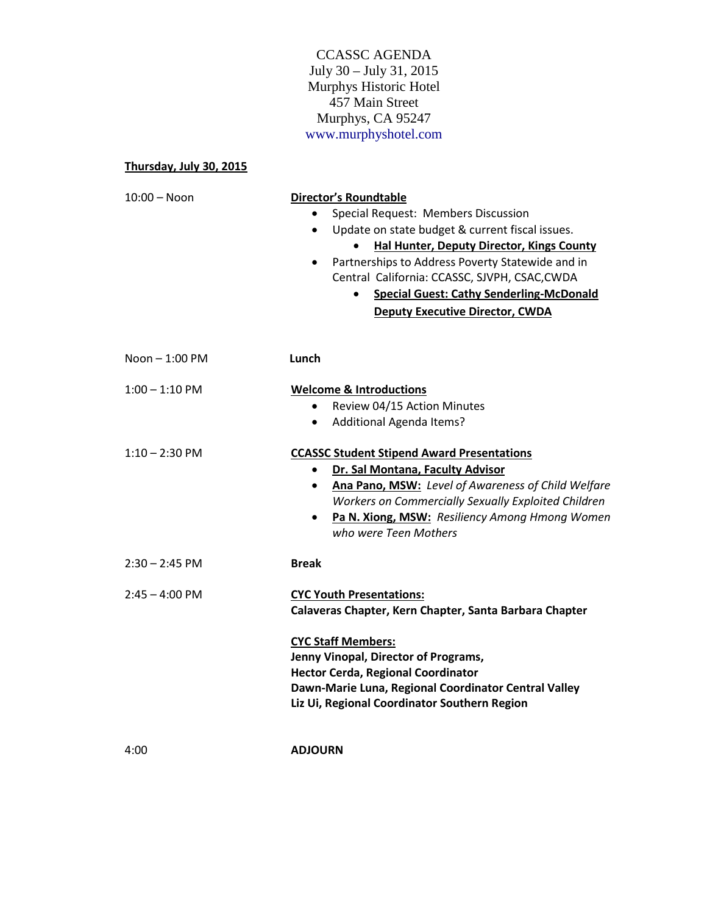CCASSC AGENDA July 30 – July 31, 2015 Murphys Historic Hotel 457 Main Street Murphys, CA 95247 [www.murphyshotel.com](http://www.murphyshotel.com/)

**Thursday, July 30, 2015**

| $10:00 - N$ oon          | <b>Director's Roundtable</b><br>Special Request: Members Discussion<br>Update on state budget & current fiscal issues.<br>$\bullet$<br><b>Hal Hunter, Deputy Director, Kings County</b><br>Partnerships to Address Poverty Statewide and in<br>$\bullet$<br>Central California: CCASSC, SJVPH, CSAC, CWDA<br><b>Special Guest: Cathy Senderling-McDonald</b><br>$\bullet$<br><b>Deputy Executive Director, CWDA</b> |
|--------------------------|---------------------------------------------------------------------------------------------------------------------------------------------------------------------------------------------------------------------------------------------------------------------------------------------------------------------------------------------------------------------------------------------------------------------|
| $N$ oon $-1:00$ PM       | Lunch                                                                                                                                                                                                                                                                                                                                                                                                               |
| $1:00 - 1:10$ PM         | <b>Welcome &amp; Introductions</b><br>Review 04/15 Action Minutes<br>Additional Agenda Items?<br>$\bullet$                                                                                                                                                                                                                                                                                                          |
| $1:10 - 2:30$ PM         | <b>CCASSC Student Stipend Award Presentations</b><br>Dr. Sal Montana, Faculty Advisor<br>Ana Pano, MSW: Level of Awareness of Child Welfare<br>$\bullet$<br>Workers on Commercially Sexually Exploited Children<br>Pa N. Xiong, MSW: Resiliency Among Hmong Women<br>$\bullet$<br>who were Teen Mothers                                                                                                             |
| $2:30 - 2:45$ PM         | <b>Break</b>                                                                                                                                                                                                                                                                                                                                                                                                        |
| $2:45 - 4:00 \text{ PM}$ | <b>CYC Youth Presentations:</b><br>Calaveras Chapter, Kern Chapter, Santa Barbara Chapter                                                                                                                                                                                                                                                                                                                           |
|                          | <b>CYC Staff Members:</b><br>Jenny Vinopal, Director of Programs,<br><b>Hector Cerda, Regional Coordinator</b><br>Dawn-Marie Luna, Regional Coordinator Central Valley<br>Liz Ui, Regional Coordinator Southern Region                                                                                                                                                                                              |
| 4:00                     | <b>ADJOURN</b>                                                                                                                                                                                                                                                                                                                                                                                                      |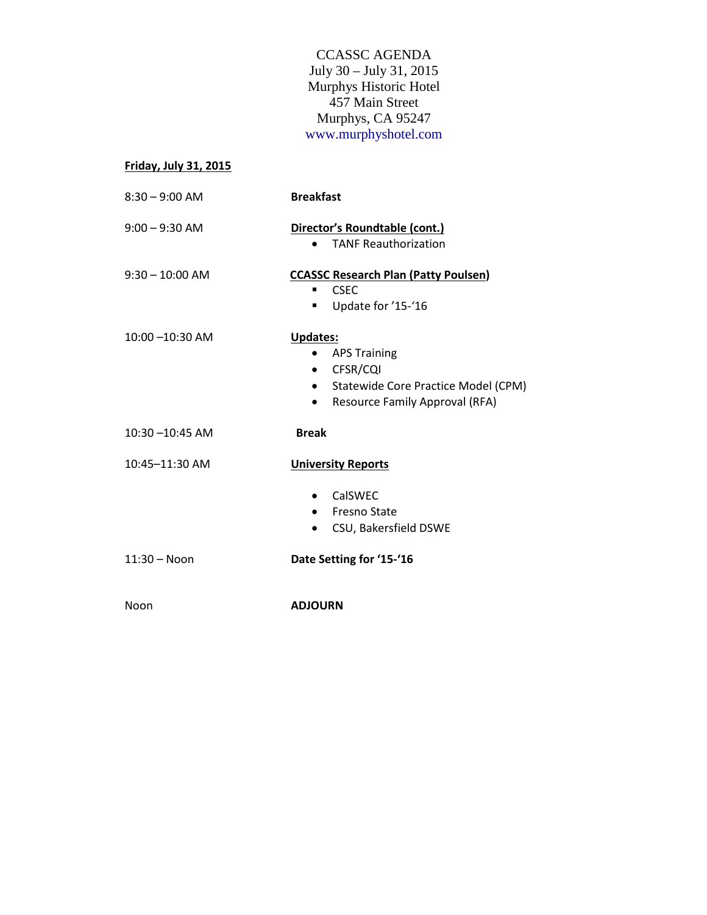CCASSC AGENDA July 30 – July 31, 2015 Murphys Historic Hotel 457 Main Street Murphys, CA 95247 [www.murphyshotel.com](http://www.murphyshotel.com/)

## **Friday, July 31, 2015**

| $8:30 - 9:00$ AM   | <b>Breakfast</b>                                                                                                                                 |
|--------------------|--------------------------------------------------------------------------------------------------------------------------------------------------|
| $9:00 - 9:30$ AM   | Director's Roundtable (cont.)<br><b>TANF Reauthorization</b><br>$\bullet$                                                                        |
| $9:30 - 10:00$ AM  | <b>CCASSC Research Plan (Patty Poulsen)</b><br><b>CSEC</b><br>٠<br>Update for '15-'16<br>٠                                                       |
| $10:00 - 10:30$ AM | Updates:<br><b>APS Training</b><br>CFSR/CQI<br>$\bullet$<br>• Statewide Core Practice Model (CPM)<br>Resource Family Approval (RFA)<br>$\bullet$ |
| $10:30 - 10:45$ AM | <b>Break</b>                                                                                                                                     |
| 10:45-11:30 AM     | <b>University Reports</b>                                                                                                                        |
|                    | CalSWEC<br>$\bullet$<br>Fresno State<br>$\bullet$<br>CSU, Bakersfield DSWE                                                                       |
| $11:30 - N$ oon    | Date Setting for '15-'16                                                                                                                         |
| Noon               | <b>ADJOURN</b>                                                                                                                                   |